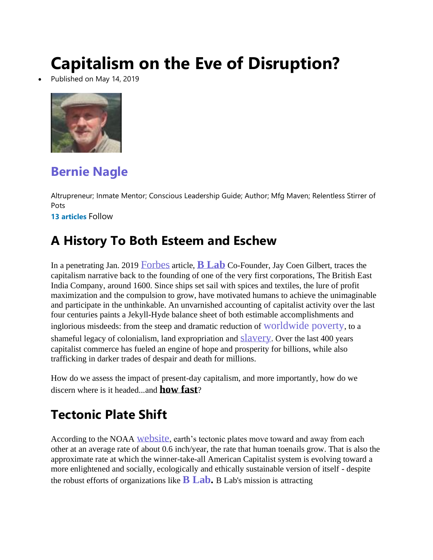# **Capitalism on the Eve of Disruption?**

[Published on May 14,](https://www.linkedin.com/in/bernie-nagle-59369921/) 2019



### **[Bernie](https://www.linkedin.com/in/bernie-nagle-59369921/) Nagle**

Altrupreneur; Inmate Mentor; Conscious Leadership Guide; Author; Mfg Maven; Relentless Stirrer of Pots

**13 [articles](https://www.linkedin.com/in/bernie-nagle-59369921/detail/recent-activity/posts/)** Follow

#### **A History To Both Esteem and Eschew**

In a penetrating Jan. 2019 [Forbes](https://www.forbes.com/sites/jaycoengilbert/2019/01/24/larry-fink-tucker-carlson-david-brooks-and-the-call-for-a-capitalist-reformation/#e724a7f78a5d) article, **B [Lab](https://www.linkedin.com/company/b-lab/)** Co-Founder, Jay Coen Gilbert, traces the capitalism narrative back to the founding of one of the very first corporations, The British East India Company, around 1600. Since ships set sail with spices and textiles, the lure of profit maximization and the compulsion to grow, have motivated humans to achieve the unimaginable and participate in the unthinkable. An unvarnished accounting of capitalist activity over the last four centuries paints a Jekyll-Hyde balance sheet of both estimable accomplishments and inglorious misdeeds: from the steep and dramatic reduction of [worldwide](https://www.worldbank.org/en/news/press-release/2018/09/19/decline-of-global-extreme-poverty-continues-but-has-slowed-world-bank) poverty, to a shameful legacy of colonialism, land expropriation and **[slavery](https://www.forbes.com/sites/hbsworkingknowledge/2017/05/03/the-clear-connection-between-slavery-and-american-capitalism/)**. Over the last 400 years capitalist commerce has fueled an engine of hope and prosperity for billions, while also trafficking in darker trades of despair and death for millions.

How do we assess the impact of present-day capitalism, and more importantly, how do we discern where is it headed...and **how fast**?

#### **Tectonic Plate Shift**

According to the NOAA [website](https://oceanservice.noaa.gov/facts/tectonics.html), earth's tectonic plates move toward and away from each other at an average rate of about 0.6 inch/year, the rate that human toenails grow. That is also the approximate rate at which the winner-take-all American Capitalist system is evolving toward a more enlightened and socially, ecologically and ethically sustainable version of itself - despite the robust efforts of organizations like **B [Lab.](https://bcorporation.net/about-b-corps)** B Lab's mission is attracting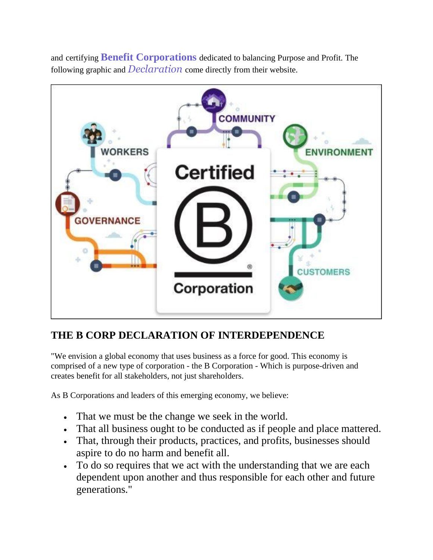

and certifying **Benefit [Corporations](https://bcorporation.net/)** dedicated to balancing Purpose and Profit. The following graphic and *[Declaration](https://bcorporation.net/about-b-corps)* come directly from their website.

#### **THE B CORP DECLARATION OF INTERDEPENDENCE**

"We envision a global economy that uses business as a force for good. This economy is comprised of a new type of corporation - the B Corporation - Which is purpose-driven and creates benefit for all stakeholders, not just shareholders.

As B Corporations and leaders of this emerging economy, we believe:

- That we must be the change we seek in the world.
- That all business ought to be conducted as if people and place mattered.
- That, through their products, practices, and profits, businesses should aspire to do no harm and benefit all.
- To do so requires that we act with the understanding that we are each dependent upon another and thus responsible for each other and future generations."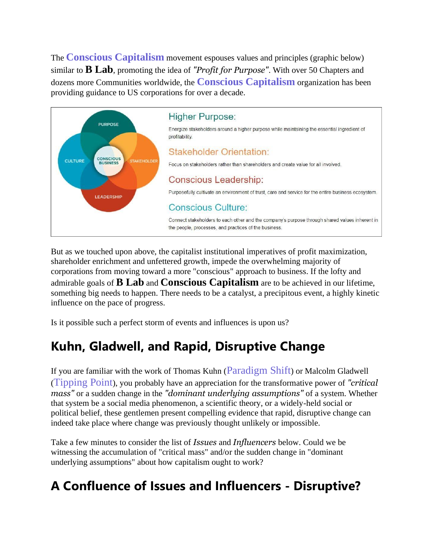The **Conscious [Capitalism](https://www.consciouscapitalism.org/)** movement espouses values and principles (graphic below) similar to **B Lab**, promoting the idea of *"Profit for Purpose"*. With over 50 Chapters and dozens more Communities worldwide, the **Conscious [Capitalism](https://www.linkedin.com/company/conscious-capitalism-inc.-fka-flow-/)** organization has been providing guidance to US corporations for over a decade.



But as we touched upon above, the capitalist institutional imperatives of profit maximization, shareholder enrichment and unfettered growth, impede the overwhelming majority of corporations from moving toward a more "conscious" approach to business. If the lofty and admirable goals of **B Lab** and **Conscious Capitalism** are to be achieved in our lifetime, something big needs to happen. There needs to be a catalyst, a precipitous event, a highly kinetic influence on the pace of progress.

Is it possible such a perfect storm of events and influences is upon us?

#### **Kuhn, Gladwell, and Rapid, Disruptive Change**

If you are familiar with the work of Thomas Kuhn ([Paradigm](https://en.wikipedia.org/wiki/Paradigm_shift) Shift) or Malcolm Gladwell ([Tipping](https://en.wikipedia.org/wiki/The_Tipping_Point) Point), you probably have an appreciation for the transformative power of *"critical mass"* or a sudden change in the *"dominant underlying assumptions"* of a system. Whether that system be a social media phenomenon, a scientific theory, or a widely-held social or political belief, these gentlemen present compelling evidence that rapid, disruptive change can indeed take place where change was previously thought unlikely or impossible.

Take a few minutes to consider the list of *Issues* and *Influencers* below. Could we be witnessing the accumulation of "critical mass" and/or the sudden change in "dominant underlying assumptions" about how capitalism ought to work?

### **A Confluence of Issues and Influencers - Disruptive?**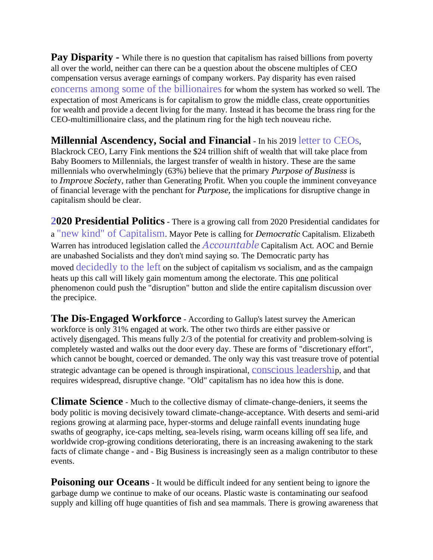**Pay Disparity -** While there is no question that capitalism has raised billions from poverty all over the world, neither can there can be a question about the obscene multiples of CEO compensation versus average earnings of company workers. Pay disparity has even raised concerns among some of the [billionaires](https://www.theguardian.com/commentisfree/2019/apr/24/ray-dalio-jamie-dimon-kings-of-capitalism-concerned) for whom the system has worked so well. The expectation of most Americans is for capitalism to grow the middle class, create opportunities for wealth and provide a decent living for the many. Instead it has become the brass ring for the CEO-multimillionaire class, and the platinum ring for the high tech nouveau riche.

#### **Millennial Ascendency, Social and Financial** - In his 2019 letter to [CEOs](https://www.blackrock.com/corporate/investor-relations/larry-fink-ceo-letter),

Blackrock CEO, Larry Fink mentions the \$24 trillion shift of wealth that will take place from Baby Boomers to Millennials, the largest transfer of wealth in history. These are the same millennials who overwhelmingly (63%) believe that the primary *Purpose of Business* is to *Improve Societ*y, rather than Generating Profit. When you couple the imminent conveyance of financial leverage with the penchant for *Purpose,* the implications for disruptive change in capitalism should be clear.

**[20](https://www.linkedin.com/pulse/capitalism-getting-woke-bernie-nagle/)20 Presidential Politics** - There is a growing call from 2020 Presidential candidates for a "new kind" of [Capitalism](https://www.linkedin.com/pulse/capitalism-getting-woke-bernie-nagle/). Mayor Pete is calling for *Democratic* Capitalism. Elizabeth Warren has introduced legislation called the *[Accountable](https://www.forbes.com/sites/miltonezrati/2019/02/05/senator-warrens-accountable-capitalism-bill-has-big-problems/#7341032d471b)* Capitalism Act. AOC and Bernie are unabashed Socialists and they don't mind saying so. The Democratic party has moved [decidedly](https://www.theepochtimes.com/democratic-2020-candidates-embrace-far-left-socialist-agenda_2855546.html) to the left on the subject of capitalism vs socialism, and as the campaign heats up this call will likely gain momentum among the electorate. This one political phenomenon could push the "disruption" button and slide the entire capitalism discussion over the precipice.

**The Dis-Engaged Workforce** - According to Gallup's latest survey the American workforce is only 31% engaged at work. The other two thirds are either passive or actively disengaged. This means fully 2/3 of the potential for creativity and problem-solving is completely wasted and walks out the door every day. These are forms of "discretionary effort", which cannot be bought, coerced or demanded. The only way this vast treasure trove of potential strategic advantage can be opened is through inspirational, [conscious](https://northeasternohio.consciouscapitalism.org/) leadership, and that requires widespread, disruptive change. "Old" capitalism has no idea how this is done.

**Climate Science** - Much to the collective dismay of climate-change-deniers, it seems the body politic is moving decisively toward climate-change-acceptance. With deserts and semi-arid regions growing at alarming pace, hyper-storms and deluge rainfall events inundating huge swaths of geography, ice-caps melting, sea-levels rising, warm oceans killing off sea life, and worldwide crop-growing conditions deteriorating, there is an increasing awakening to the stark facts of climate change - and - Big Business is increasingly seen as a malign contributor to these events.

**Poisoning our Oceans** - It would be difficult indeed for any sentient being to ignore the garbage dump we continue to make of our oceans. Plastic waste is contaminating our seafood supply and killing off huge quantities of fish and sea mammals. There is growing awareness that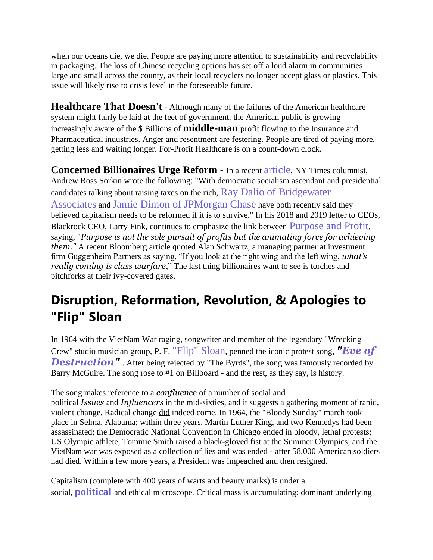when our oceans die, we die. People are paying more attention to sustainability and recyclability in packaging. The loss of Chinese recycling options has set off a loud alarm in communities large and small across the county, as their local recyclers no longer accept glass or plastics. This issue will likely rise to crisis level in the foreseeable future.

**Healthcare That Doesn't** - Although many of the failures of the American healthcare system might fairly be laid at the feet of government, the American public is growing increasingly aware of the \$ Billions of **middle-man** profit flowing to the Insurance and Pharmaceutical industries. Anger and resentment are festering. People are tired of paying more, getting less and waiting longer. For-Profit Healthcare is on a count-down clock.

**Concerned Billionaires Urge Reform -** In a recent [article](https://www.linkedin.com/pulse/capitalists-fear-socialist-revolt-andrew-ross-sorkin/), NY Times columnist, Andrew Ross Sorkin wrote the following: "With democratic socialism ascendant and presidential candidates talking about raising taxes on the rich, Ray Dalio of [Bridgewater](https://www.linkedin.com/pulse/why-how-capitalism-needs-reformed-ray-dalio/?dlbk&te=1&nl=dealbook&emc=edit_dk_20190405) [Associates](https://www.linkedin.com/pulse/why-how-capitalism-needs-reformed-ray-dalio/?dlbk&te=1&nl=dealbook&emc=edit_dk_20190405) and Jamie Dimon of [JPMorgan](https://www.jpmorganchase.com/corporate/investor-relations/document/annualreport-2018.pdf?te=1&nl=dealbook&emc=edit_dk_20190405) Chase have both recently said they believed capitalism needs to be reformed if it is to survive." In his 2018 and 2019 letter to CEOs, Blackrock CEO, Larry Fink, continues to emphasize the link between [Purpose](https://www.blackrock.com/corporate/investor-relations/larry-fink-ceo-letter) and Profit, saying, "*Purpose is not the sole pursuit of profits but the animating force for achieving them."* A recent Bloomberg article quoted Alan Schwartz, a managing partner at investment firm Guggenheim Partners as saying, "If you look at the right wing and the left wing, *what's really coming is class warfare*," The last thing billionaires want to see is torches and pitchforks at their ivy-covered gates.

## **Disruption, Reformation, Revolution, & Apologies to "Flip" Sloan**

In 1964 with the VietNam War raging, songwriter and member of the legendary "Wrecking Crew" studio musician group, P. F. ["Flip"](https://en.wikipedia.org/wiki/P._F._Sloan) Sloan, penned the iconic protest song, *["Eve](https://www.youtube.com/watch?v=qfZVu0alU0I) of* **[Destruction"](https://www.youtube.com/watch?v=qfZVu0alU0I)**. After being rejected by "The Byrds", the song was famously recorded by Barry McGuire. The song rose to #1 on Billboard - and the rest, as they say, is history.

The song makes reference to a *confluence* of a number of social and political *Issues* and *Influencers* in the mid-sixties, and it suggests a gathering moment of rapid, violent change. Radical change did indeed come. In 1964, the "Bloody Sunday" march took place in Selma, Alabama; within three years, Martin Luther King, and two Kennedys had been assassinated; the Democratic National Convention in Chicago ended in bloody, lethal protests; US Olympic athlete, Tommie Smith raised a black-gloved fist at the Summer Olympics; and the VietNam war was exposed as a collection of lies and was ended - after 58,000 American soldiers had died. Within a few more years, a President was impeached and then resigned.

Capitalism (complete with 400 years of warts and beauty marks) is under a social, **[political](https://www.linkedin.com/pulse/capitalism-getting-woke-bernie-nagle/)** and ethical microscope. Critical mass is accumulating; dominant underlying